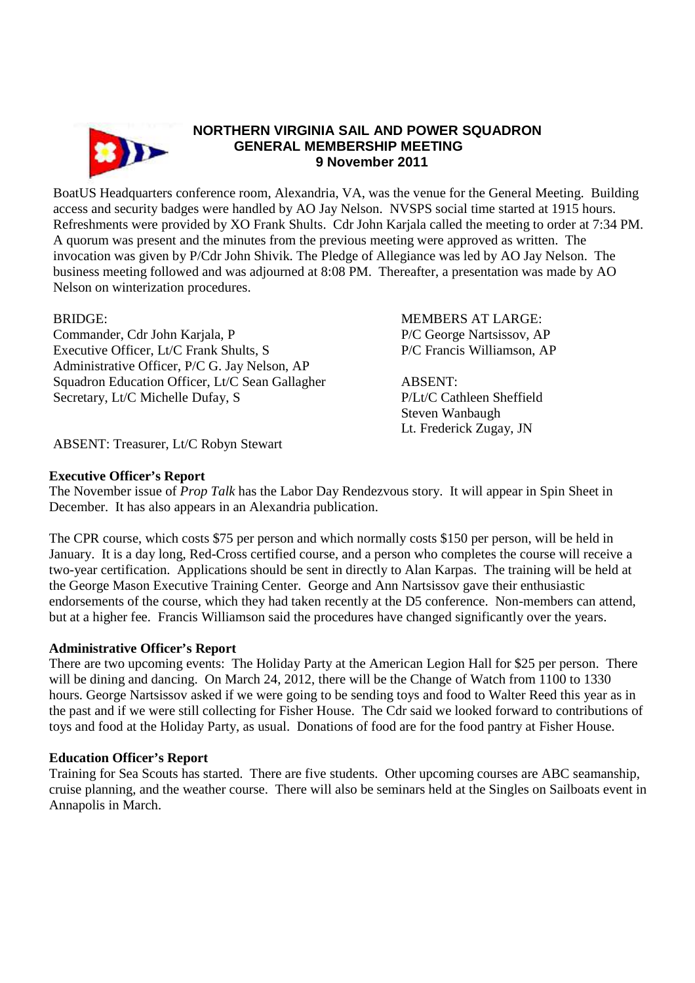

# **NORTHERN VIRGINIA SAIL AND POWER SQUADRON GENERAL MEMBERSHIP MEETING 9 November 2011**

BoatUS Headquarters conference room, Alexandria, VA, was the venue for the General Meeting. Building access and security badges were handled by AO Jay Nelson. NVSPS social time started at 1915 hours. Refreshments were provided by XO Frank Shults. Cdr John Karjala called the meeting to order at 7:34 PM. A quorum was present and the minutes from the previous meeting were approved as written. The invocation was given by P/Cdr John Shivik. The Pledge of Allegiance was led by AO Jay Nelson. The business meeting followed and was adjourned at 8:08 PM. Thereafter, a presentation was made by AO Nelson on winterization procedures.

Commander, Cdr John Karjala, P P/C George Nartsissov, AP Executive Officer, Lt/C Frank Shults, S<br>
P/C Francis Williamson, AP Administrative Officer, P/C G. Jay Nelson, AP Squadron Education Officer, Lt/C Sean Gallagher ABSENT: Secretary, Lt/C Michelle Dufay, S<br>
P/Lt/C Cathleen Sheffield

BRIDGE: MEMBERS AT LARGE:

Steven Wanbaugh Lt. Frederick Zugay, JN

ABSENT: Treasurer, Lt/C Robyn Stewart

# **Executive Officer's Report**

The November issue of *Prop Talk* has the Labor Day Rendezvous story. It will appear in Spin Sheet in December. It has also appears in an Alexandria publication.

The CPR course, which costs \$75 per person and which normally costs \$150 per person, will be held in January. It is a day long, Red-Cross certified course, and a person who completes the course will receive a two-year certification. Applications should be sent in directly to Alan Karpas. The training will be held at the George Mason Executive Training Center. George and Ann Nartsissov gave their enthusiastic endorsements of the course, which they had taken recently at the D5 conference. Non-members can attend, but at a higher fee. Francis Williamson said the procedures have changed significantly over the years.

# **Administrative Officer's Report**

There are two upcoming events: The Holiday Party at the American Legion Hall for \$25 per person. There will be dining and dancing. On March 24, 2012, there will be the Change of Watch from 1100 to 1330 hours. George Nartsissov asked if we were going to be sending toys and food to Walter Reed this year as in the past and if we were still collecting for Fisher House. The Cdr said we looked forward to contributions of toys and food at the Holiday Party, as usual. Donations of food are for the food pantry at Fisher House.

# **Education Officer's Report**

Training for Sea Scouts has started. There are five students. Other upcoming courses are ABC seamanship, cruise planning, and the weather course. There will also be seminars held at the Singles on Sailboats event in Annapolis in March.